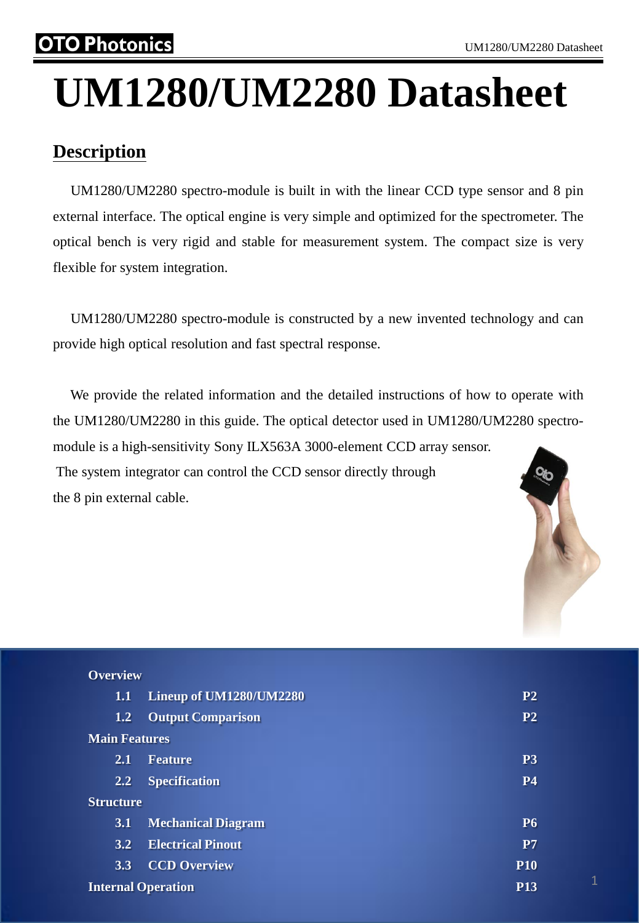## Photonics

# **UM1280/UM2280 Datasheet**

## **Description**

 UM1280/UM2280 spectro-module is built in with the linear CCD type sensor and 8 pin external interface. The optical engine is very simple and optimized for the spectrometer. The optical bench is very rigid and stable for measurement system. The compact size is very flexible for system integration.

 UM1280/UM2280 spectro-module is constructed by a new invented technology and can provide high optical resolution and fast spectral response.

 We provide the related information and the detailed instructions of how to operate with the UM1280/UM2280 in this guide. The optical detector used in UM1280/UM2280 spectromodule is a high-sensitivity Sony ILX563A 3000-element CCD array sensor. The system integrator can control the CCD sensor directly through the 8 pin external cable.



| <b>Overview</b>      |                           |                |
|----------------------|---------------------------|----------------|
| 1.1                  | Lineup of UM1280/UM2280   | P <sub>2</sub> |
| 1.2                  | <b>Output Comparison</b>  | P <sub>2</sub> |
| <b>Main Features</b> |                           |                |
| 2.1                  | <b>Feature</b>            | P <sub>3</sub> |
| 2.2                  | <b>Specification</b>      | <b>P4</b>      |
| <b>Structure</b>     |                           |                |
| 3.1                  | <b>Mechanical Diagram</b> | <b>P6</b>      |
| 3.2                  | <b>Electrical Pinout</b>  | P7             |
| 3.3                  | <b>CCD Overview</b>       | <b>P10</b>     |
|                      | <b>Internal Operation</b> | <b>P13</b>     |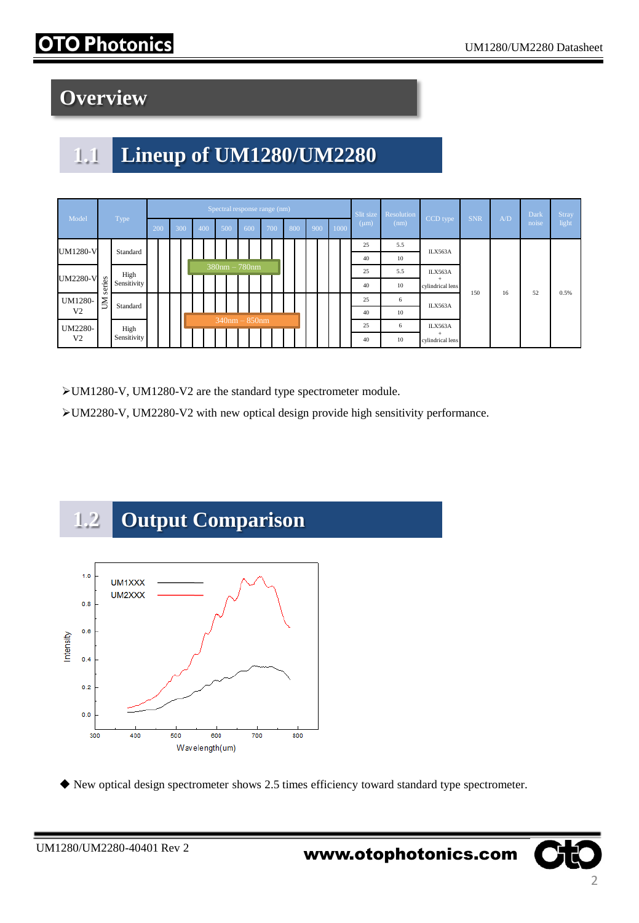# Photonics

# **Overview**

# **1.1 Lineup of UM1280/UM2280**

|                          |             |             |            | Spectral response range (nm) |  |  |            |                     |     |                    |       |     |    |     |         |      |           | Slit size | Resolution |                               |     |       | Dark  | <b>Stray</b> |
|--------------------------|-------------|-------------|------------|------------------------------|--|--|------------|---------------------|-----|--------------------|-------|-----|----|-----|---------|------|-----------|-----------|------------|-------------------------------|-----|-------|-------|--------------|
| Model                    | Type        |             | 300<br>200 |                              |  |  | 500<br>400 |                     | 600 |                    | (700) | 800 |    | 900 |         | 1000 | $(\mu m)$ | (nm)      | CCD type   | <b>SNR</b>                    | A/D | noise | light |              |
| <b>UM1280-V</b>          |             | Standard    |            |                              |  |  |            |                     |     |                    |       |     |    |     |         |      |           | 25        | 5.5        | ILX563A                       |     |       |       |              |
|                          |             |             |            |                              |  |  |            |                     |     |                    |       |     |    |     |         |      | 40        | 10        | ILX563A    |                               |     |       |       |              |
| <b>UM2280-V</b><br>eries | High        |             |            |                              |  |  |            | $380$ nm $- 780$ nm |     |                    |       |     |    |     |         |      | 25        | 5.5       |            |                               |     |       |       |              |
|                          |             | Sensitivity |            |                              |  |  |            |                     |     |                    |       |     |    |     |         |      |           | 40        | 10         | ÷<br>cylindrical lens         | 150 |       | 52    | 0.5%         |
| UM1280-                  | cn<br>ŠΙ    | Standard    |            |                              |  |  |            |                     |     |                    |       |     | 25 | 6   | ILX563A |      | 16        |           |            |                               |     |       |       |              |
| V <sub>2</sub>           |             |             |            |                              |  |  |            |                     |     |                    |       |     |    |     |         | 40   | 10        |           |            |                               |     |       |       |              |
| UM2280-                  | High        |             |            |                              |  |  |            |                     |     | $340$ nm $-850$ nm |       |     |    |     |         |      | 25        | 6         | ILX563A    |                               |     |       |       |              |
| V <sub>2</sub>           | Sensitivity |             |            |                              |  |  |            |                     |     |                    |       |     |    |     |         |      |           | 40        | 10         | $\ddot{}$<br>cylindrical lens |     |       |       |              |

UM1280-V, UM1280-V2 are the standard type spectrometer module.

UM2280-V, UM2280-V2 with new optical design provide high sensitivity performance.



New optical design spectrometer shows 2.5 times efficiency toward standard type spectrometer.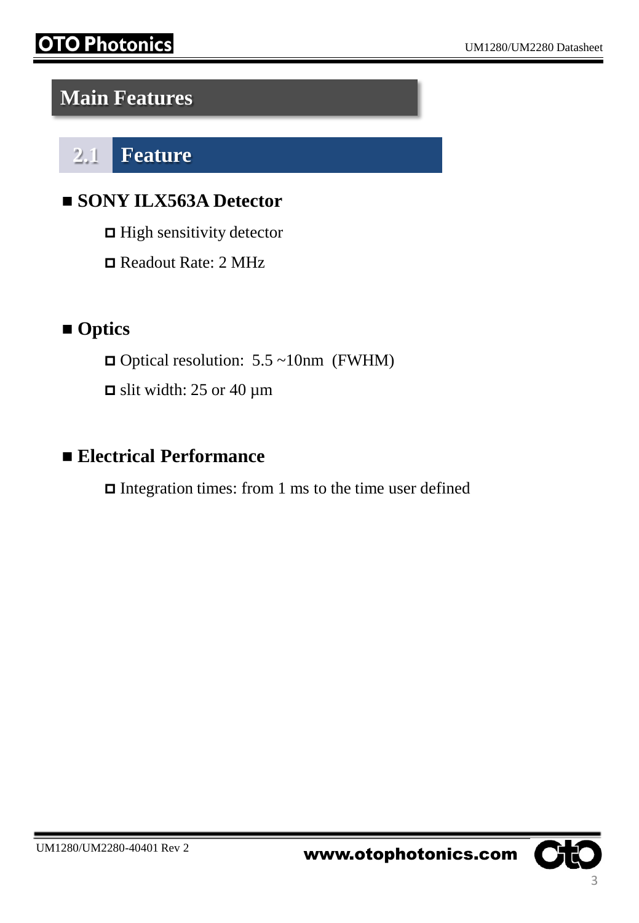## **Main Features**

**2.1 Feature**

## **SONY ILX563A Detector**

 $\Box$  High sensitivity detector

Readout Rate: 2 MHz

## **Optics**

- $\Box$  Optical resolution: 5.5 ~10nm (FWHM)
- $\Box$  slit width: 25 or 40 µm

## **Electrical Performance**

 $\Box$  Integration times: from 1 ms to the time user defined

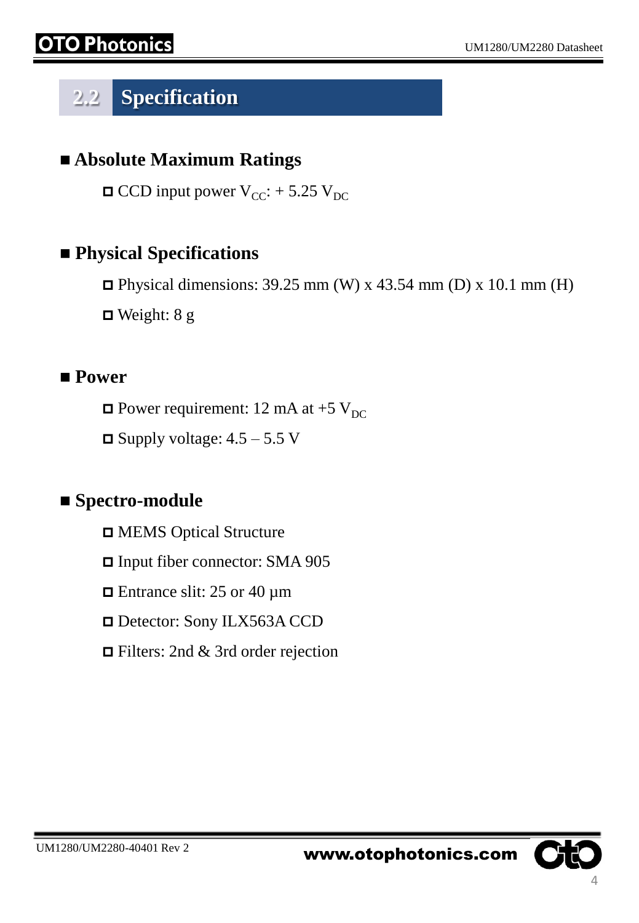# **2.2 Specification**

#### **Absolute Maximum Ratings**

 $\Box$  CCD input power V<sub>CC</sub>: + 5.25 V<sub>DC</sub>

#### **Physical Specifications**

 $\Box$  Physical dimensions: 39.25 mm (W) x 43.54 mm (D) x 10.1 mm (H)

 $\Box$  Weight: 8 g

#### **Power**

 $\Box$  Power requirement: 12 mA at +5 V<sub>DC</sub>

 $\Box$  Supply voltage: 4.5 – 5.5 V

#### ■ Spectro-module

MEMS Optical Structure

Input fiber connector: SMA 905

 $\Box$  Entrance slit: 25 or 40  $\mu$ m

□ Detector: Sony ILX563A CCD

Filters: 2nd & 3rd order rejection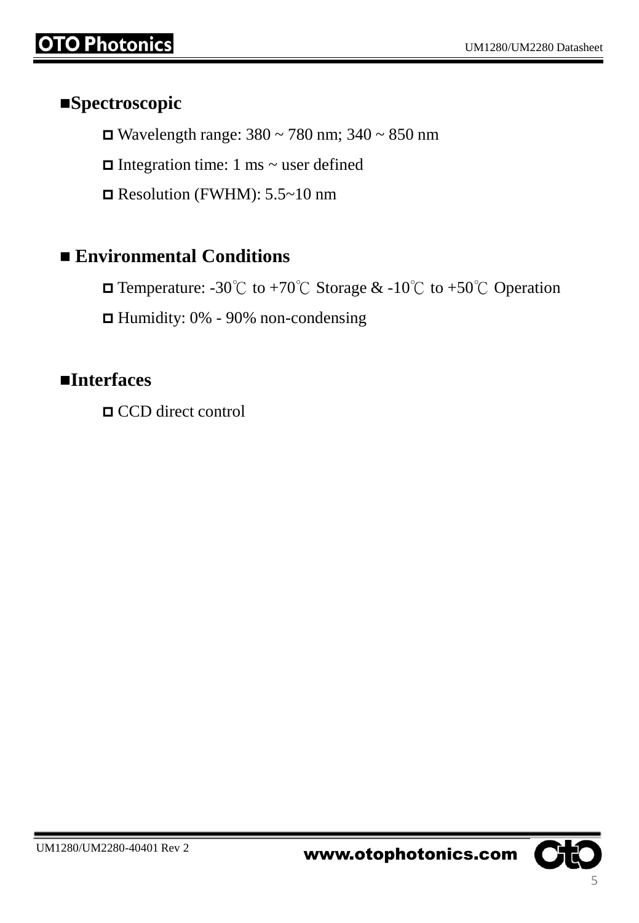#### **Spectroscopic**

Wavelength range:  $380 \sim 780$  nm;  $340 \sim 850$  nm

 $\Box$  Integration time: 1 ms ~ user defined

 $\Box$  Resolution (FWHM): 5.5~10 nm

#### **Environmental Conditions**

Temperature: -30℃ to +70℃ Storage & -10℃ to +50℃ Operation

 $\Box$  Humidity: 0% - 90% non-condensing

#### **Interfaces**

CCD direct control

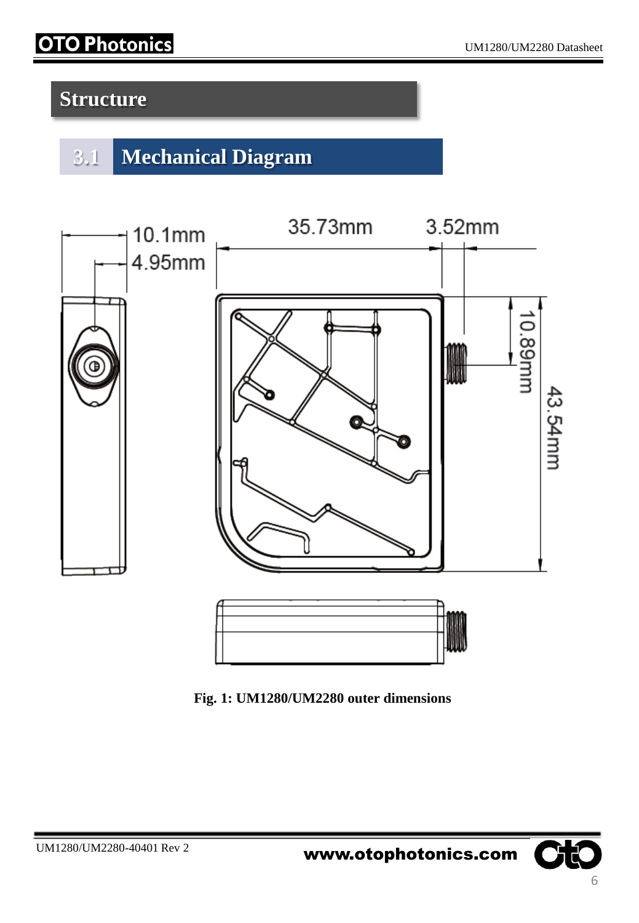# **OTO Photonics**

# **Structure**

# **3.1 Mechanical Diagram**



**Fig. 1: UM1280/UM2280 outer dimensions** 

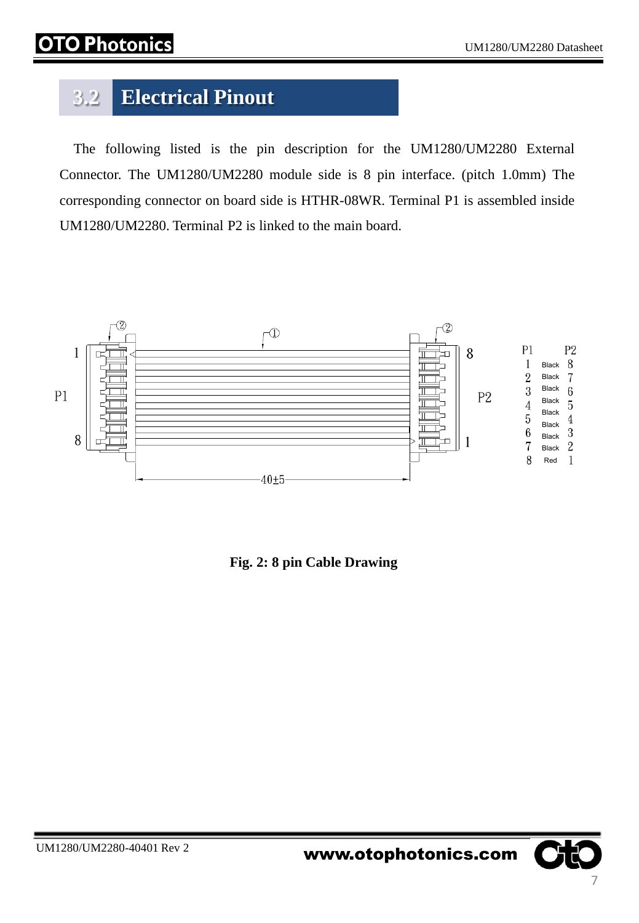# hatanics

# **3.2 Electrical Pinout**

 The following listed is the pin description for the UM1280/UM2280 External Connector. The UM1280/UM2280 module side is 8 pin interface. (pitch 1.0mm) The corresponding connector on board side is HTHR-08WR. Terminal P1 is assembled inside UM1280/UM2280. Terminal P2 is linked to the main board.



**Fig. 2: 8 pin Cable Drawing**

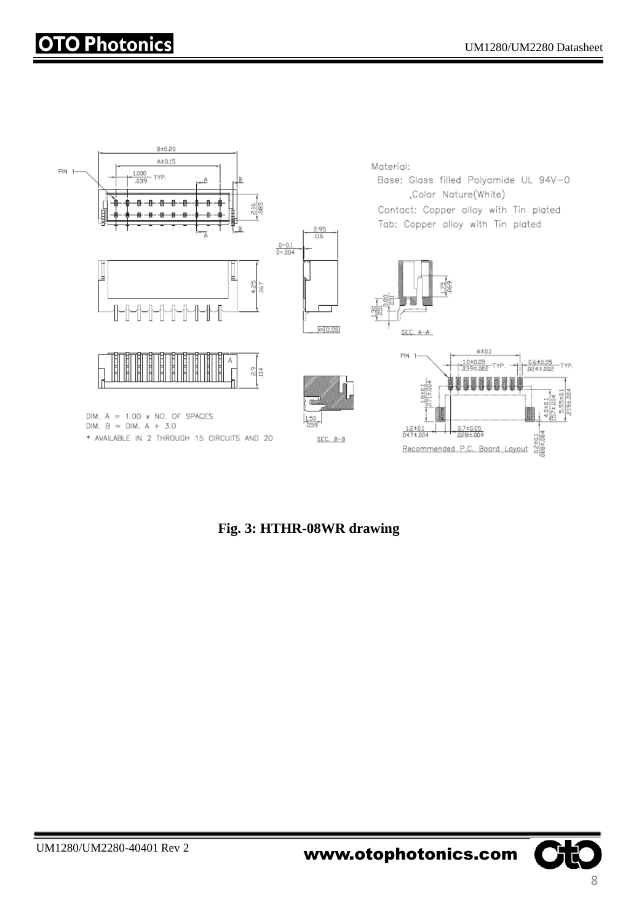

**Fig. 3: HTHR-08WR drawing**

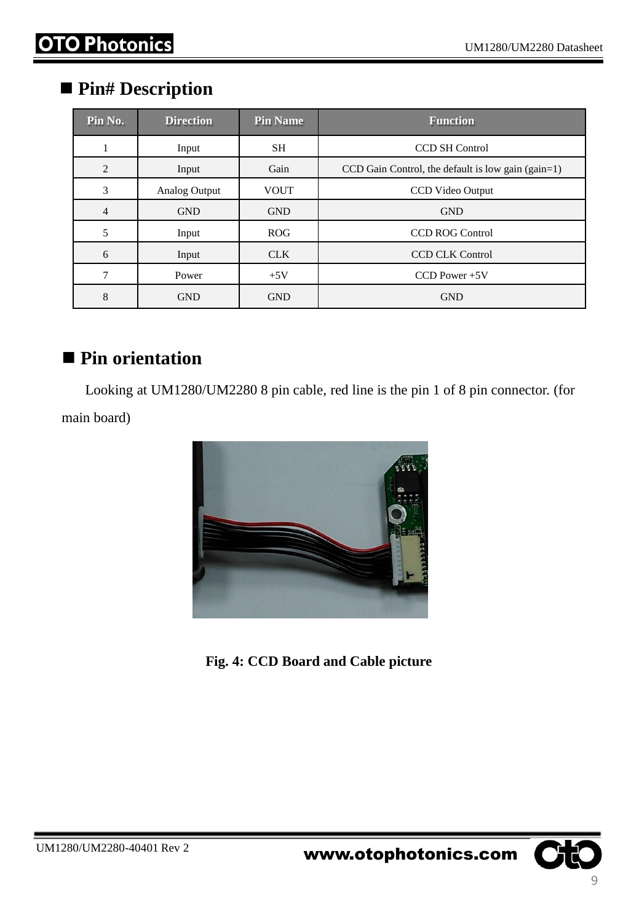#### **Pin# Description**

| Pin No.        | <b>Direction</b> | <b>Pin Name</b> | <b>Function</b>                                    |
|----------------|------------------|-----------------|----------------------------------------------------|
| 1              | Input            | <b>SH</b>       | <b>CCD SH Control</b>                              |
| 2              | Input            | Gain            | CCD Gain Control, the default is low gain (gain=1) |
| 3              | Analog Output    | <b>VOUT</b>     | <b>CCD</b> Video Output                            |
| $\overline{4}$ | <b>GND</b>       | <b>GND</b>      | <b>GND</b>                                         |
| 5              | Input            | <b>ROG</b>      | <b>CCD ROG Control</b>                             |
| 6              | Input            | <b>CLK</b>      | <b>CCD CLK Control</b>                             |
| 7              | Power            | $+5V$           | $CCD Power + 5V$                                   |
| 8              | <b>GND</b>       | <b>GND</b>      | <b>GND</b>                                         |

#### ■ Pin orientation

Looking at UM1280/UM2280 8 pin cable, red line is the pin 1 of 8 pin connector. (for main board)



**Fig. 4: CCD Board and Cable picture**

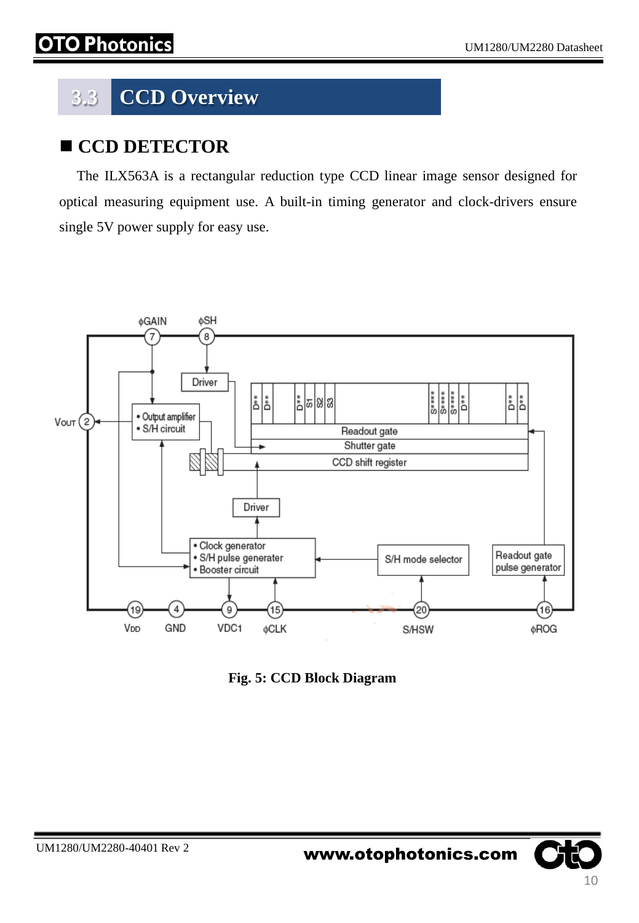# **3.3 CCD Overview**

#### **CCD DETECTOR**

 The ILX563A is a rectangular reduction type CCD linear image sensor designed for optical measuring equipment use. A built-in timing generator and clock-drivers ensure single 5V power supply for easy use.



**Fig. 5: CCD Block Diagram**

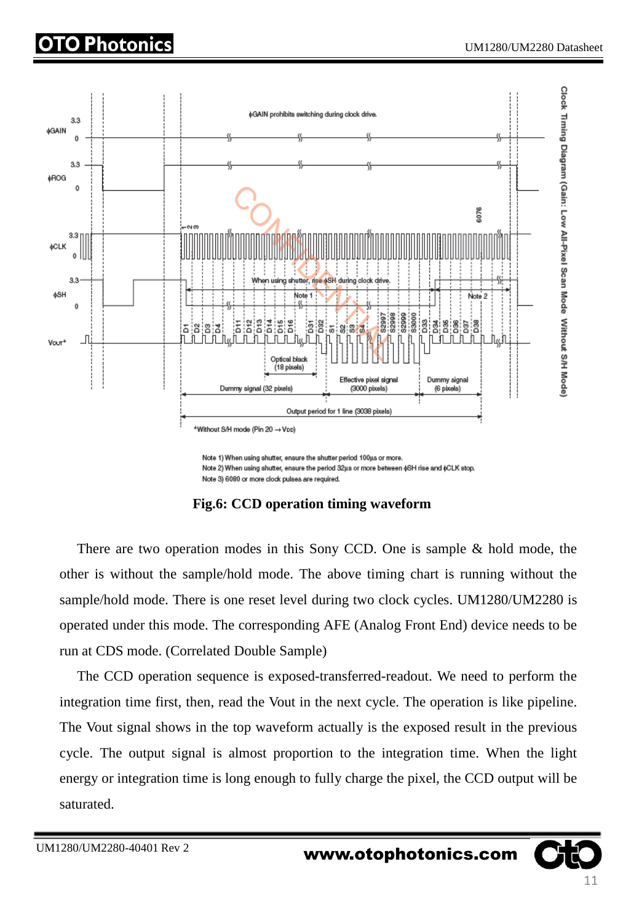

Note 2) When using shutter, ensure the period 32us or more between ¢SH rise and ¢CLK stop. Note 3) 6080 or more clock pulses are required.

**Fig.6: CCD operation timing waveform**

 There are two operation modes in this Sony CCD. One is sample & hold mode, the other is without the sample/hold mode. The above timing chart is running without the sample/hold mode. There is one reset level during two clock cycles. UM1280/UM2280 is operated under this mode. The corresponding AFE (Analog Front End) device needs to be run at CDS mode. (Correlated Double Sample)

 The CCD operation sequence is exposed-transferred-readout. We need to perform the integration time first, then, read the Vout in the next cycle. The operation is like pipeline. The Vout signal shows in the top waveform actually is the exposed result in the previous cycle. The output signal is almost proportion to the integration time. When the light energy or integration time is long enough to fully charge the pixel, the CCD output will be saturated.

UM1280/UM2280-40401 Rev 2 **www.otophotonics.com**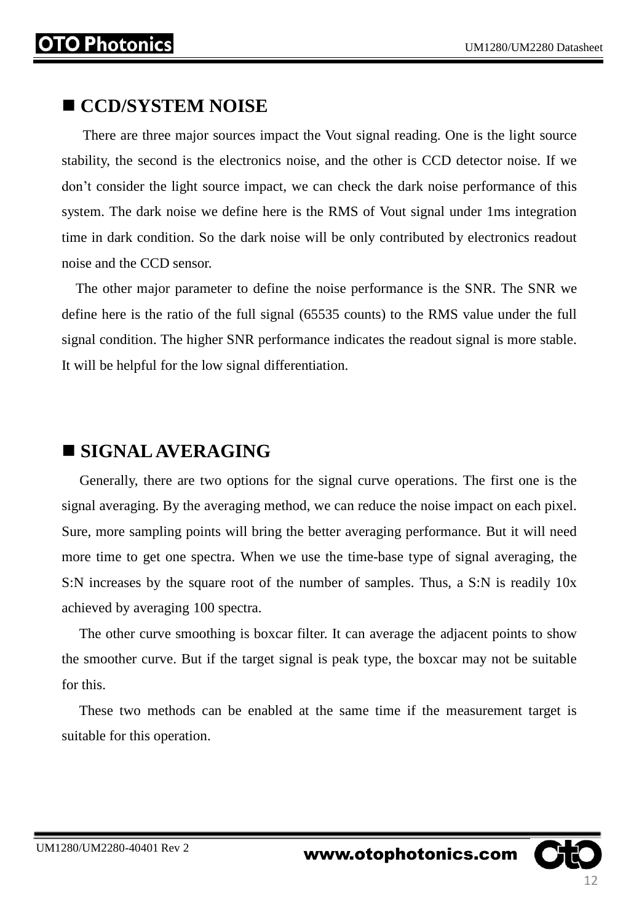#### **CCD/SYSTEM NOISE**

 There are three major sources impact the Vout signal reading. One is the light source stability, the second is the electronics noise, and the other is CCD detector noise. If we don't consider the light source impact, we can check the dark noise performance of this system. The dark noise we define here is the RMS of Vout signal under 1ms integration time in dark condition. So the dark noise will be only contributed by electronics readout noise and the CCD sensor.

 The other major parameter to define the noise performance is the SNR. The SNR we define here is the ratio of the full signal (65535 counts) to the RMS value under the full signal condition. The higher SNR performance indicates the readout signal is more stable. It will be helpful for the low signal differentiation.

#### **SIGNALAVERAGING**

 Generally, there are two options for the signal curve operations. The first one is the signal averaging. By the averaging method, we can reduce the noise impact on each pixel. Sure, more sampling points will bring the better averaging performance. But it will need more time to get one spectra. When we use the time-base type of signal averaging, the S:N increases by the square root of the number of samples. Thus, a S:N is readily 10x achieved by averaging 100 spectra.

 The other curve smoothing is boxcar filter. It can average the adjacent points to show the smoother curve. But if the target signal is peak type, the boxcar may not be suitable for this.

 These two methods can be enabled at the same time if the measurement target is suitable for this operation.